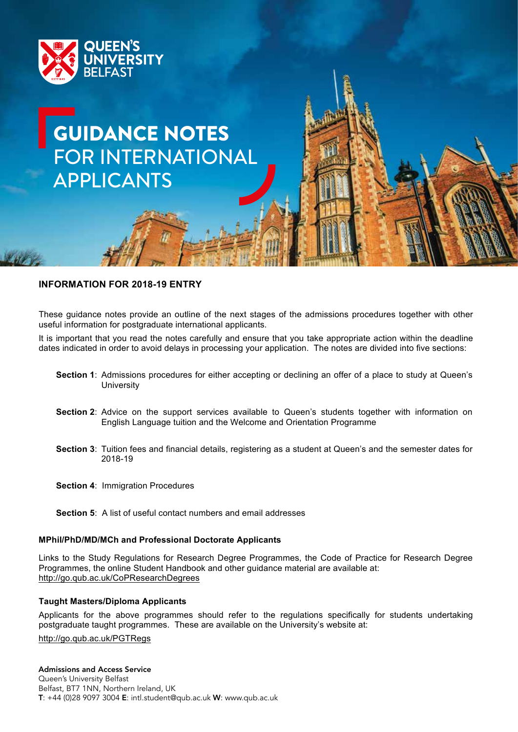

# GUIDANCE NOTES FOR INTERNATIONAL APPLICANTS

## **INFORMATION FOR 2018-19 ENTRY**

These guidance notes provide an outline of the next stages of the admissions procedures together with other useful information for postgraduate international applicants.

It is important that you read the notes carefully and ensure that you take appropriate action within the deadline dates indicated in order to avoid delays in processing your application. The notes are divided into five sections:

- **Section 1**: Admissions procedures for either accepting or declining an offer of a place to study at Queen's **University**
- **Section 2**: Advice on the support services available to Queen's students together with information on English Language tuition and the Welcome and Orientation Programme
- **Section 3**: Tuition fees and financial details, registering as a student at Queen's and the semester dates for 2018-19
- **Section 4**: Immigration Procedures
- **Section 5**: A list of useful contact numbers and email addresses

## **MPhil/PhD/MD/MCh and Professional Doctorate Applicants**

Links to the Study Regulations for Research Degree Programmes, the Code of Practice for Research Degree Programmes, the online Student Handbook and other guidance material are available at: http://go.qub.ac.uk/CoPResearchDegrees

#### **Taught Masters/Diploma Applicants**

Applicants for the above programmes should refer to the regulations specifically for students undertaking postgraduate taught programmes. These are available on the University's website at:

http://go.qub.ac.uk/PGTRegs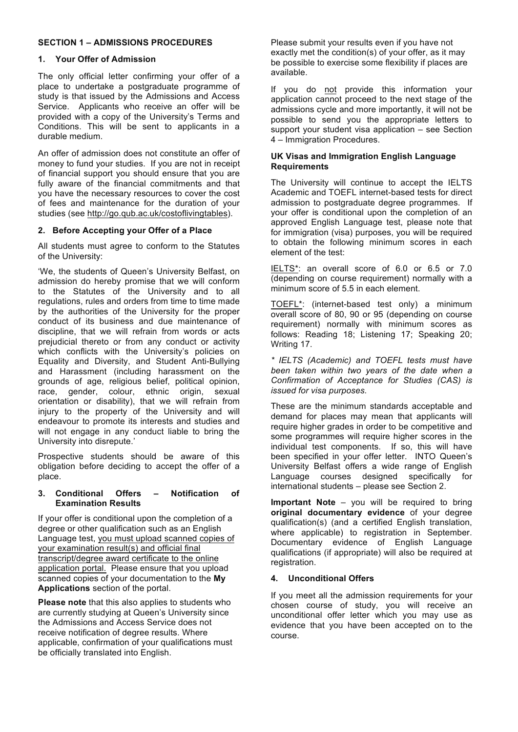# **SECTION 1 – ADMISSIONS PROCEDURES**

## **1. Your Offer of Admission**

The only official letter confirming your offer of a place to undertake a postgraduate programme of study is that issued by the Admissions and Access Service. Applicants who receive an offer will be provided with a copy of the University's Terms and Conditions. This will be sent to applicants in a durable medium.

An offer of admission does not constitute an offer of money to fund your studies. If you are not in receipt of financial support you should ensure that you are fully aware of the financial commitments and that you have the necessary resources to cover the cost of fees and maintenance for the duration of your studies (see http://go.qub.ac.uk/costoflivingtables).

## **2. Before Accepting your Offer of a Place**

All students must agree to conform to the Statutes of the University:

'We, the students of Queen's University Belfast, on admission do hereby promise that we will conform to the Statutes of the University and to all regulations, rules and orders from time to time made by the authorities of the University for the proper conduct of its business and due maintenance of discipline, that we will refrain from words or acts prejudicial thereto or from any conduct or activity which conflicts with the University's policies on Equality and Diversity, and Student Anti-Bullying and Harassment (including harassment on the grounds of age, religious belief, political opinion, race, gender, colour, ethnic origin, sexual orientation or disability), that we will refrain from injury to the property of the University and will endeavour to promote its interests and studies and will not engage in any conduct liable to bring the University into disrepute.'

Prospective students should be aware of this obligation before deciding to accept the offer of a place.

#### **3. Conditional Offers – Notification of Examination Results**

If your offer is conditional upon the completion of a degree or other qualification such as an English Language test, you must upload scanned copies of your examination result(s) and official final transcript/degree award certificate to the online application portal. Please ensure that you upload scanned copies of your documentation to the **My Applications** section of the portal.

**Please note** that this also applies to students who are currently studying at Queen's University since the Admissions and Access Service does not receive notification of degree results. Where applicable, confirmation of your qualifications must be officially translated into English.

Please submit your results even if you have not exactly met the condition(s) of your offer, as it may be possible to exercise some flexibility if places are available.

If you do not provide this information your application cannot proceed to the next stage of the admissions cycle and more importantly, it will not be possible to send you the appropriate letters to support your student visa application – see Section 4 – Immigration Procedures.

#### **UK Visas and Immigration English Language Requirements**

The University will continue to accept the IELTS Academic and TOEFL internet-based tests for direct admission to postgraduate degree programmes. If your offer is conditional upon the completion of an approved English Language test, please note that for immigration (visa) purposes, you will be required to obtain the following minimum scores in each element of the test:

IELTS\*: an overall score of 6.0 or 6.5 or 7.0 (depending on course requirement) normally with a minimum score of 5.5 in each element.

TOEFL\*: (internet-based test only) a minimum overall score of 80, 90 or 95 (depending on course requirement) normally with minimum scores as follows: Reading 18; Listening 17; Speaking 20; Writing 17.

*\* IELTS (Academic) and TOEFL tests must have been taken within two years of the date when a Confirmation of Acceptance for Studies (CAS) is issued for visa purposes.*

These are the minimum standards acceptable and demand for places may mean that applicants will require higher grades in order to be competitive and some programmes will require higher scores in the individual test components. If so, this will have been specified in your offer letter. INTO Queen's University Belfast offers a wide range of English Language courses designed specifically for international students – please see Section 2.

**Important Note** – you will be required to bring **original documentary evidence** of your degree qualification(s) (and a certified English translation, where applicable) to registration in September. Documentary evidence of English Language qualifications (if appropriate) will also be required at registration.

## **4. Unconditional Offers**

If you meet all the admission requirements for your chosen course of study, you will receive an unconditional offer letter which you may use as evidence that you have been accepted on to the course.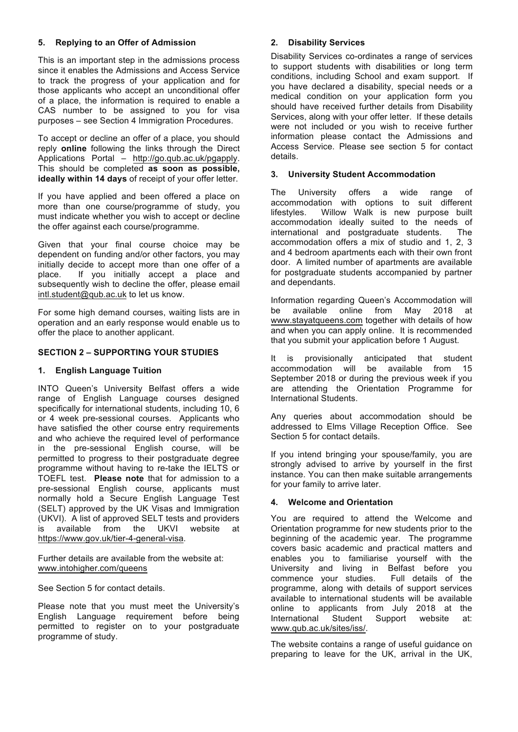# **5. Replying to an Offer of Admission**

This is an important step in the admissions process since it enables the Admissions and Access Service to track the progress of your application and for those applicants who accept an unconditional offer of a place, the information is required to enable a CAS number to be assigned to you for visa purposes – see Section 4 Immigration Procedures.

To accept or decline an offer of a place, you should reply **online** following the links through the Direct Applications Portal – http://go.qub.ac.uk/pgapply. This should be completed **as soon as possible, ideally within 14 days** of receipt of your offer letter.

If you have applied and been offered a place on more than one course/programme of study, you must indicate whether you wish to accept or decline the offer against each course/programme.

Given that your final course choice may be dependent on funding and/or other factors, you may initially decide to accept more than one offer of a place. If you initially accept a place and subsequently wish to decline the offer, please email intl.student@qub.ac.uk to let us know.

For some high demand courses, waiting lists are in operation and an early response would enable us to offer the place to another applicant.

## **SECTION 2 – SUPPORTING YOUR STUDIES**

#### **1. English Language Tuition**

INTO Queen's University Belfast offers a wide range of English Language courses designed specifically for international students, including 10, 6 or 4 week pre-sessional courses. Applicants who have satisfied the other course entry requirements and who achieve the required level of performance in the pre-sessional English course, will be permitted to progress to their postgraduate degree programme without having to re-take the IELTS or TOEFL test. **Please note** that for admission to a pre-sessional English course, applicants must normally hold a Secure English Language Test (SELT) approved by the UK Visas and Immigration (UKVI). A list of approved SELT tests and providers is available from the UKVI website at https://www.gov.uk/tier-4-general-visa.

Further details are available from the website at: www.intohigher.com/queens

See Section 5 for contact details.

Please note that you must meet the University's English Language requirement before being permitted to register on to your postgraduate programme of study.

## **2. Disability Services**

Disability Services co-ordinates a range of services to support students with disabilities or long term conditions, including School and exam support. If you have declared a disability, special needs or a medical condition on your application form you should have received further details from Disability Services, along with your offer letter. If these details were not included or you wish to receive further information please contact the Admissions and Access Service. Please see section 5 for contact details.

#### **3. University Student Accommodation**

The University offers a wide range of accommodation with options to suit different lifestyles. Willow Walk is new purpose built accommodation ideally suited to the needs of international and postgraduate students. The accommodation offers a mix of studio and 1, 2, 3 and 4 bedroom apartments each with their own front door. A limited number of apartments are available for postgraduate students accompanied by partner and dependants.

Information regarding Queen's Accommodation will be available online from May 2018 at www.stayatqueens.com together with details of how and when you can apply online. It is recommended that you submit your application before 1 August.

It is provisionally anticipated that student accommodation will be available from 15 September 2018 or during the previous week if you are attending the Orientation Programme for International Students.

Any queries about accommodation should be addressed to Elms Village Reception Office. See Section 5 for contact details.

If you intend bringing your spouse/family, you are strongly advised to arrive by yourself in the first instance. You can then make suitable arrangements for your family to arrive later.

## **4. Welcome and Orientation**

You are required to attend the Welcome and Orientation programme for new students prior to the beginning of the academic year. The programme covers basic academic and practical matters and enables you to familiarise yourself with the University and living in Belfast before you commence your studies. Full details of the programme, along with details of support services available to international students will be available online to applicants from July 2018 at the<br>International Student Support website at: International Student Support website at: www.qub.ac.uk/sites/iss/.

The website contains a range of useful quidance on preparing to leave for the UK, arrival in the UK,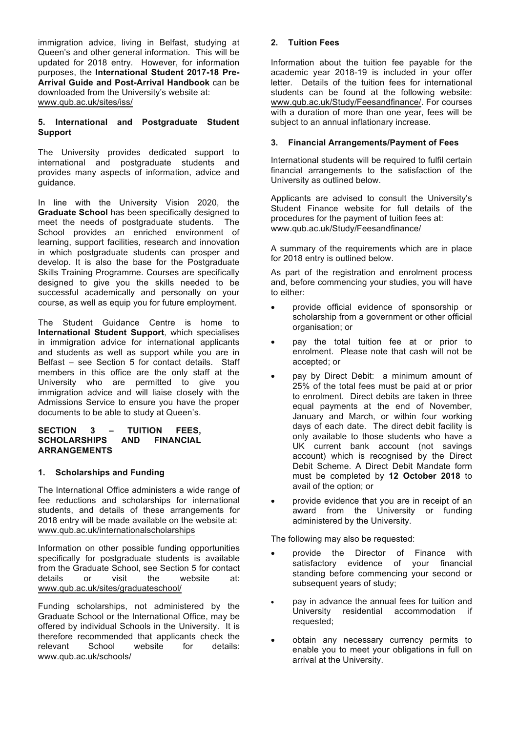immigration advice, living in Belfast, studying at Queen's and other general information. This will be updated for 2018 entry. However, for information purposes, the **International Student 2017-18 Pre-Arrival Guide and Post-Arrival Handbook** can be downloaded from the University's website at: www.qub.ac.uk/sites/iss/

## **5. International and Postgraduate Student Support**

The University provides dedicated support to international and postgraduate students and provides many aspects of information, advice and guidance.

In line with the University Vision 2020, the **Graduate School** has been specifically designed to meet the needs of postgraduate students. The School provides an enriched environment of learning, support facilities, research and innovation in which postgraduate students can prosper and develop. It is also the base for the Postgraduate Skills Training Programme. Courses are specifically designed to give you the skills needed to be successful academically and personally on your course, as well as equip you for future employment.

The Student Guidance Centre is home to **International Student Support**, which specialises in immigration advice for international applicants and students as well as support while you are in Belfast – see Section 5 for contact details. Staff members in this office are the only staff at the University who are permitted to give you immigration advice and will liaise closely with the Admissions Service to ensure you have the proper documents to be able to study at Queen's.

#### **SECTION 3 – TUITION FEES, SCHOLARSHIPS AND FINANCIAL ARRANGEMENTS**

## **1. Scholarships and Funding**

The International Office administers a wide range of fee reductions and scholarships for international students, and details of these arrangements for 2018 entry will be made available on the website at: www.qub.ac.uk/internationalscholarships

Information on other possible funding opportunities specifically for postgraduate students is available from the Graduate School, see Section 5 for contact details or visit the website at: www.qub.ac.uk/sites/graduateschool/

Funding scholarships, not administered by the Graduate School or the International Office, may be offered by individual Schools in the University. It is therefore recommended that applicants check the<br>relevant School website for details: relevant School website for details: www.qub.ac.uk/schools/

## **2. Tuition Fees**

Information about the tuition fee payable for the academic year 2018-19 is included in your offer letter. Details of the tuition fees for international students can be found at the following website: www.qub.ac.uk/Study/Feesandfinance/. For courses with a duration of more than one year, fees will be subject to an annual inflationary increase.

## **3. Financial Arrangements/Payment of Fees**

International students will be required to fulfil certain financial arrangements to the satisfaction of the University as outlined below.

Applicants are advised to consult the University's Student Finance website for full details of the procedures for the payment of tuition fees at: www.qub.ac.uk/Study/Feesandfinance/

A summary of the requirements which are in place for 2018 entry is outlined below.

As part of the registration and enrolment process and, before commencing your studies, you will have to either:

- provide official evidence of sponsorship or scholarship from a government or other official organisation; or
- pay the total tuition fee at or prior to enrolment. Please note that cash will not be accepted; or
- pay by Direct Debit: a minimum amount of 25% of the total fees must be paid at or prior to enrolment. Direct debits are taken in three equal payments at the end of November, January and March, or within four working days of each date. The direct debit facility is only available to those students who have a UK current bank account (not savings account) which is recognised by the Direct Debit Scheme. A Direct Debit Mandate form must be completed by **12 October 2018** to avail of the option; or
- provide evidence that you are in receipt of an award from the University or funding administered by the University.

The following may also be requested:

- provide the Director of Finance with satisfactory evidence of your financial standing before commencing your second or subsequent years of study;
- pay in advance the annual fees for tuition and<br>University residential accommodation if residential accommodation if requested;
- obtain any necessary currency permits to enable you to meet your obligations in full on arrival at the University.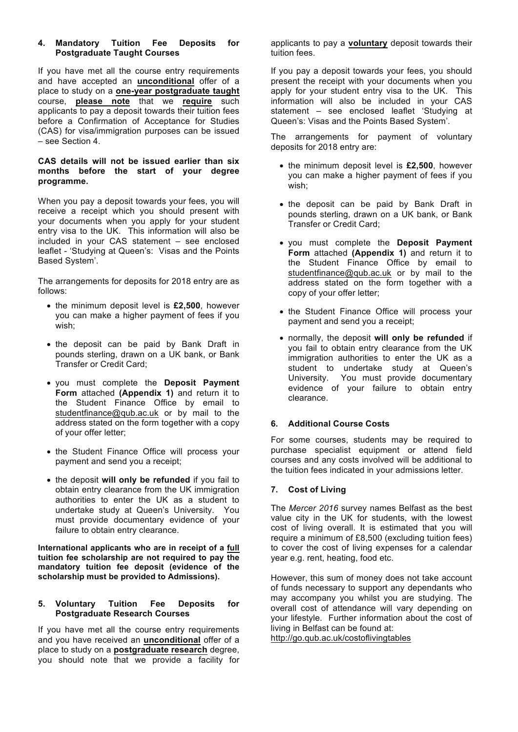## **4. Mandatory Tuition Fee Deposits for Postgraduate Taught Courses**

If you have met all the course entry requirements and have accepted an **unconditional** offer of a place to study on a **one-year postgraduate taught** course, **please note** that we **require** such applicants to pay a deposit towards their tuition fees before a Confirmation of Acceptance for Studies (CAS) for visa/immigration purposes can be issued – see Section 4.

## **CAS details will not be issued earlier than six months before the start of your degree programme.**

When you pay a deposit towards your fees, you will receive a receipt which you should present with your documents when you apply for your student entry visa to the UK. This information will also be included in your CAS statement – see enclosed leaflet - 'Studying at Queen's: Visas and the Points Based System'.

The arrangements for deposits for 2018 entry are as follows:

- the minimum deposit level is **£2,500**, however you can make a higher payment of fees if you wish;
- the deposit can be paid by Bank Draft in pounds sterling, drawn on a UK bank, or Bank Transfer or Credit Card;
- you must complete the **Deposit Payment Form** attached **(Appendix 1)** and return it to the Student Finance Office by email to studentfinance@qub.ac.uk or by mail to the address stated on the form together with a copy of your offer letter;
- the Student Finance Office will process your payment and send you a receipt;
- the deposit **will only be refunded** if you fail to obtain entry clearance from the UK immigration authorities to enter the UK as a student to undertake study at Queen's University. You must provide documentary evidence of your failure to obtain entry clearance.

**International applicants who are in receipt of a full tuition fee scholarship are not required to pay the mandatory tuition fee deposit (evidence of the scholarship must be provided to Admissions).**

## **5. Voluntary Tuition Fee Deposits for Postgraduate Research Courses**

If you have met all the course entry requirements and you have received an **unconditional** offer of a place to study on a **postgraduate research** degree, you should note that we provide a facility for

applicants to pay a **voluntary** deposit towards their tuition fees.

If you pay a deposit towards your fees, you should present the receipt with your documents when you apply for your student entry visa to the UK. This information will also be included in your CAS statement – see enclosed leaflet 'Studying at Queen's: Visas and the Points Based System'.

The arrangements for payment of voluntary deposits for 2018 entry are:

- the minimum deposit level is **£2,500**, however you can make a higher payment of fees if you wish;
- the deposit can be paid by Bank Draft in pounds sterling, drawn on a UK bank, or Bank Transfer or Credit Card;
- you must complete the **Deposit Payment Form** attached **(Appendix 1)** and return it to the Student Finance Office by email to studentfinance@qub.ac.uk or by mail to the address stated on the form together with a copy of your offer letter;
- the Student Finance Office will process your payment and send you a receipt;
- normally, the deposit **will only be refunded** if you fail to obtain entry clearance from the UK immigration authorities to enter the UK as a student to undertake study at Queen's University. You must provide documentary evidence of your failure to obtain entry clearance.

## **6. Additional Course Costs**

For some courses, students may be required to purchase specialist equipment or attend field courses and any costs involved will be additional to the tuition fees indicated in your admissions letter.

## **7. Cost of Living**

The *Mercer 2016* survey names Belfast as the best value city in the UK for students, with the lowest cost of living overall. It is estimated that you will require a minimum of £8,500 (excluding tuition fees) to cover the cost of living expenses for a calendar year e.g. rent, heating, food etc.

However, this sum of money does not take account of funds necessary to support any dependants who may accompany you whilst you are studying. The overall cost of attendance will vary depending on your lifestyle. Further information about the cost of living in Belfast can be found at: http://go.qub.ac.uk/costoflivingtables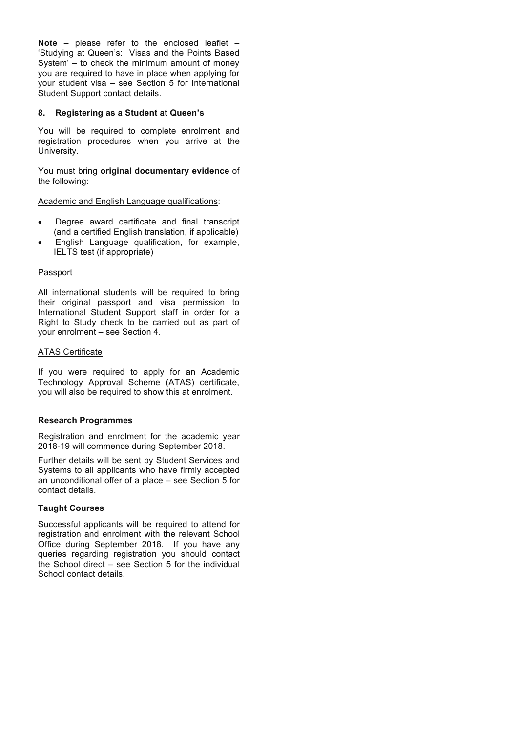**Note –** please refer to the enclosed leaflet – 'Studying at Queen's: Visas and the Points Based System' – to check the minimum amount of money you are required to have in place when applying for your student visa – see Section 5 for International Student Support contact details.

## **8. Registering as a Student at Queen's**

You will be required to complete enrolment and registration procedures when you arrive at the University.

You must bring **original documentary evidence** of the following:

Academic and English Language qualifications:

- Degree award certificate and final transcript (and a certified English translation, if applicable)
- English Language qualification, for example, IELTS test (if appropriate)

## Passport

All international students will be required to bring their original passport and visa permission to International Student Support staff in order for a Right to Study check to be carried out as part of your enrolment – see Section 4.

## ATAS Certificate

If you were required to apply for an Academic Technology Approval Scheme (ATAS) certificate, you will also be required to show this at enrolment.

## **Research Programmes**

Registration and enrolment for the academic year 2018-19 will commence during September 2018.

Further details will be sent by Student Services and Systems to all applicants who have firmly accepted an unconditional offer of a place – see Section 5 for contact details.

## **Taught Courses**

Successful applicants will be required to attend for registration and enrolment with the relevant School Office during September 2018. If you have any queries regarding registration you should contact the School direct – see Section 5 for the individual School contact details.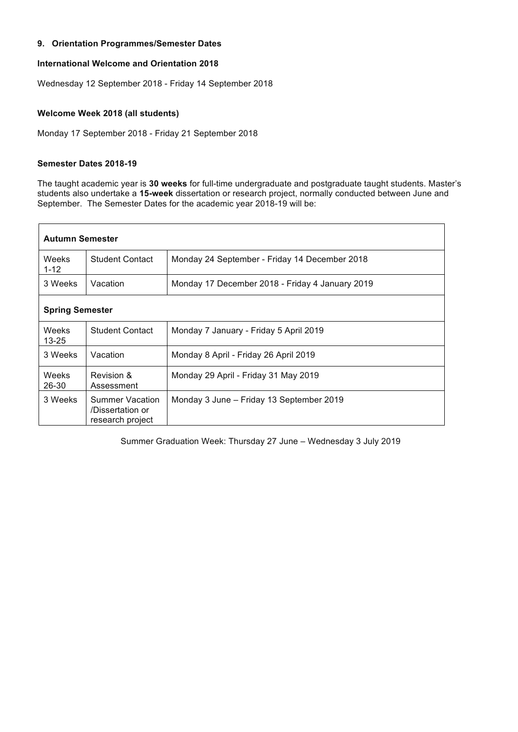# **9. Orientation Programmes/Semester Dates 9. Orientation Programmes/Semester Dates**

## **International Welcome and Orientation 2018 International Welcome and Orientation 2018**

Wednesday 12 September 2018 - Friday 14 September 2018 Wednesday 12 September 2018 - Friday 14 September 2018

## **Welcome Week 2018 (all students) Welcome Week 2018 (all students)**

Monday 17 September 2018 - Friday 21 September 2018 Monday 17 September 2018 - Friday 21 September 2018

## **Semester Dates 2018-19 Semester Dates 2018-19**

The taught academic year is 30 weeks for full-time undergraduate and postgraduate taught students. Master's students also undertake a **15-week** dissertation or research project, normally conducted between June and students also undertake a **15-week** dissertation or research project, normally conducted between June and September. The Semester Dates for the academic year 2018-19 will be: September. The Semester Dates for the academic year 2018-19 will be:

| <b>Autumn Semester</b>                                             |                                                                         |                                                 |  |  |  |  |  |  |
|--------------------------------------------------------------------|-------------------------------------------------------------------------|-------------------------------------------------|--|--|--|--|--|--|
| Weeks<br>$1 - 12$                                                  | <b>Student Contact</b><br>Monday 24 September - Friday 14 December 2018 |                                                 |  |  |  |  |  |  |
| 3 Weeks                                                            | Vacation                                                                | Monday 17 December 2018 - Friday 4 January 2019 |  |  |  |  |  |  |
| <b>Spring Semester</b>                                             |                                                                         |                                                 |  |  |  |  |  |  |
| Weeks<br>$13 - 25$                                                 | <b>Student Contact</b>                                                  | Monday 7 January - Friday 5 April 2019          |  |  |  |  |  |  |
| 3 Weeks                                                            | Vacation                                                                | Monday 8 April - Friday 26 April 2019           |  |  |  |  |  |  |
| Weeks<br>$26 - 30$                                                 | Revision &<br>Assessment                                                | Monday 29 April - Friday 31 May 2019            |  |  |  |  |  |  |
| 3 Weeks<br>Summer Vacation<br>/Dissertation or<br>research project |                                                                         | Monday 3 June – Friday 13 September 2019        |  |  |  |  |  |  |

Summer Graduation Week: Thursday 27 June – Wednesday 3 July 2019 Summer Graduation Week: Thursday 27 June – Wednesday 3 July 2019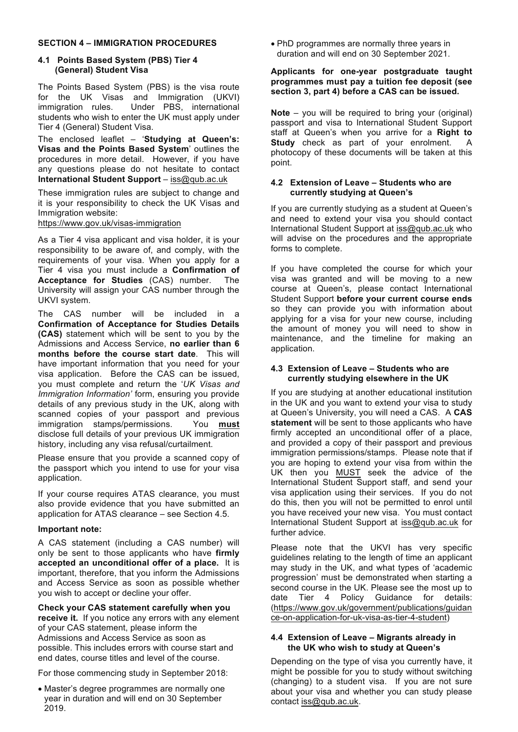## **SECTION 4 – IMMIGRATION PROCEDURES**

#### **4.1 Points Based System (PBS) Tier 4 (General) Student Visa**

The Points Based System (PBS) is the visa route for the UK Visas and Immigration (UKVI) immigration rules. Under PBS, international students who wish to enter the UK must apply under Tier 4 (General) Student Visa.

The enclosed leaflet – '**Studying at Queen's: Visas and the Points Based System**' outlines the procedures in more detail. However, if you have any questions please do not hesitate to contact **International Student Support** – iss@qub.ac.uk

These immigration rules are subject to change and it is your responsibility to check the UK Visas and Immigration website:

https://www.gov.uk/visas-immigration

As a Tier 4 visa applicant and visa holder, it is your responsibility to be aware of, and comply, with the requirements of your visa. When you apply for a Tier 4 visa you must include a **Confirmation of Acceptance for Studies** (CAS) number. The University will assign your CAS number through the UKVI system.

The CAS number will be included in a **Confirmation of Acceptance for Studies Details (CAS)** statement which will be sent to you by the Admissions and Access Service, **no earlier than 6 months before the course start date**. This will have important information that you need for your visa application. Before the CAS can be issued, you must complete and return the '*UK Visas and Immigration Information'* form, ensuring you provide details of any previous study in the UK, along with scanned copies of your passport and previous immigration stamps/permissions. You **must** disclose full details of your previous UK immigration history, including any visa refusal/curtailment.

Please ensure that you provide a scanned copy of the passport which you intend to use for your visa application.

If your course requires ATAS clearance, you must also provide evidence that you have submitted an application for ATAS clearance – see Section 4.5.

#### **Important note:**

A CAS statement (including a CAS number) will only be sent to those applicants who have **firmly accepted an unconditional offer of a place.** It is important, therefore, that you inform the Admissions and Access Service as soon as possible whether you wish to accept or decline your offer.

**Check your CAS statement carefully when you receive it.** If you notice any errors with any element of your CAS statement, please inform the Admissions and Access Service as soon as possible. This includes errors with course start and end dates, course titles and level of the course.

For those commencing study in September 2018:

• Master's degree programmes are normally one year in duration and will end on 30 September 2019.

• PhD programmes are normally three years in duration and will end on 30 September 2021.

#### **Applicants for one-year postgraduate taught programmes must pay a tuition fee deposit (see section 3, part 4) before a CAS can be issued.**

**Note** – you will be required to bring your (original) passport and visa to International Student Support staff at Queen's when you arrive for a **Right to Study** check as part of your enrolment. A photocopy of these documents will be taken at this point.

#### **4.2 Extension of Leave – Students who are currently studying at Queen's**

If you are currently studying as a student at Queen's and need to extend your visa you should contact International Student Support at iss@qub.ac.uk who will advise on the procedures and the appropriate forms to complete.

If you have completed the course for which your visa was granted and will be moving to a new course at Queen's, please contact International Student Support **before your current course ends** so they can provide you with information about applying for a visa for your new course, including the amount of money you will need to show in maintenance, and the timeline for making an application.

#### **4.3 Extension of Leave – Students who are currently studying elsewhere in the UK**

If you are studying at another educational institution in the UK and you want to extend your visa to study at Queen's University, you will need a CAS. A **CAS statement** will be sent to those applicants who have firmly accepted an unconditional offer of a place, and provided a copy of their passport and previous immigration permissions/stamps. Please note that if you are hoping to extend your visa from within the UK then you MUST seek the advice of the International Student Support staff, and send your visa application using their services. If you do not do this, then you will not be permitted to enrol until you have received your new visa. You must contact International Student Support at iss@qub.ac.uk for further advice.

Please note that the UKVI has very specific guidelines relating to the length of time an applicant may study in the UK, and what types of 'academic progression' must be demonstrated when starting a second course in the UK. Please see the most up to date Tier 4 Policy Guidance for details: (https://www.gov.uk/government/publications/guidan ce-on-application-for-uk-visa-as-tier-4-student)

#### **4.4 Extension of Leave – Migrants already in the UK who wish to study at Queen's**

Depending on the type of visa you currently have, it might be possible for you to study without switching (changing) to a student visa. If you are not sure about your visa and whether you can study please contact iss@qub.ac.uk.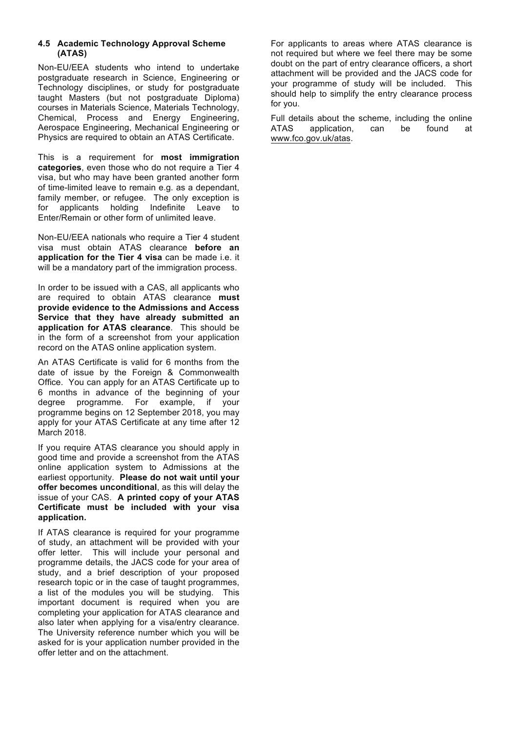# **4.5 Academic Technology Approval Scheme (ATAS)**

Non-EU/EEA students who intend to undertake postgraduate research in Science, Engineering or Technology disciplines, or study for postgraduate taught Masters (but not postgraduate Diploma) courses in Materials Science, Materials Technology, Chemical, Process and Energy Engineering, Aerospace Engineering, Mechanical Engineering or Physics are required to obtain an ATAS Certificate.

This is a requirement for **most immigration categories**, even those who do not require a Tier 4 visa, but who may have been granted another form of time-limited leave to remain e.g. as a dependant, family member, or refugee. The only exception is for applicants holding Indefinite Leave to Enter/Remain or other form of unlimited leave.

Non-EU/EEA nationals who require a Tier 4 student visa must obtain ATAS clearance **before an application for the Tier 4 visa** can be made i.e. it will be a mandatory part of the immigration process.

In order to be issued with a CAS, all applicants who are required to obtain ATAS clearance **must provide evidence to the Admissions and Access Service that they have already submitted an application for ATAS clearance**. This should be in the form of a screenshot from your application record on the ATAS online application system.

An ATAS Certificate is valid for 6 months from the date of issue by the Foreign & Commonwealth Office. You can apply for an ATAS Certificate up to 6 months in advance of the beginning of your degree programme. For example, if your programme begins on 12 September 2018, you may apply for your ATAS Certificate at any time after 12 March 2018.

If you require ATAS clearance you should apply in good time and provide a screenshot from the ATAS online application system to Admissions at the earliest opportunity. **Please do not wait until your offer becomes unconditional**, as this will delay the issue of your CAS. **A printed copy of your ATAS Certificate must be included with your visa application.**

If ATAS clearance is required for your programme of study, an attachment will be provided with your offer letter. This will include your personal and programme details, the JACS code for your area of study, and a brief description of your proposed research topic or in the case of taught programmes, a list of the modules you will be studying. This important document is required when you are completing your application for ATAS clearance and also later when applying for a visa/entry clearance. The University reference number which you will be asked for is your application number provided in the offer letter and on the attachment.

For applicants to areas where ATAS clearance is not required but where we feel there may be some doubt on the part of entry clearance officers, a short attachment will be provided and the JACS code for your programme of study will be included. This should help to simplify the entry clearance process for you.

Full details about the scheme, including the online<br>ATAS application. can be found at application, can be found at www.fco.gov.uk/atas.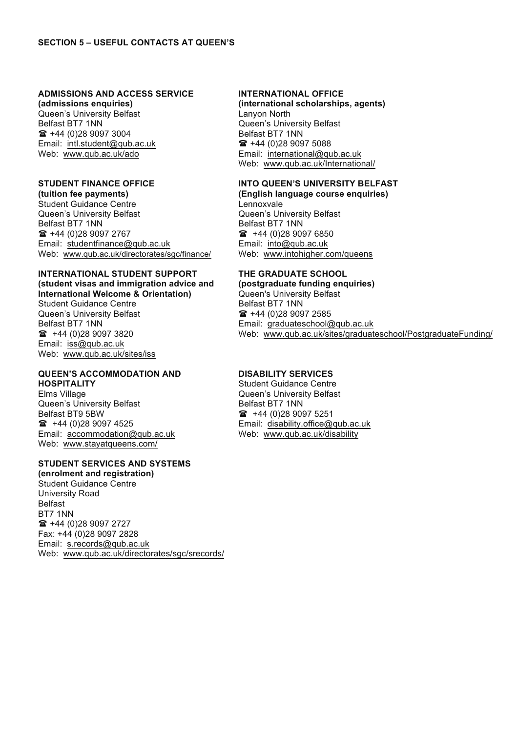## **ADMISSIONS AND ACCESS SERVICE ADMISSIONS AND ACCESS SERVICE**

**(admissions enquiries) (admissions enquiries)** Queen's University Belfast Queen's University Belfast Belfast BT7 1NN Belfast BT7 1NN  $\hat{=}$  +44 (0)28 9097 3004 Email: intl.student@qub.ac.uk Web: www.qub.ac.uk/ado Web: www.qub.ac.uk/ado

#### **STUDENT FINANCE OFFICE STUDENT FINANCE OFFICE**

**(tuition fee payments) (tuition fee payments)** Student Guidance Centre Student Guidance Centre Queen's University Belfast Queen's University Belfast Belfast BT7 1NN Belfast BT7 1NN ( +44 (0)28 9097 2767 ( +44 (0)28 9097 2767 Email: studentfinance@qub.ac.uk Email: studentfinance@qub.ac.uk Web: www.qub.ac.uk/directorates/sgc/finance/ Web: www.qub.ac.uk/directorates/sgc/finance/

## **INTERNATIONAL STUDENT SUPPORT INTERNATIONAL STUDENT SUPPORT (student visas and immigration advice and (student visas and immigration advice and International Welcome & Orientation)**

Student Guidance Centre Student Guidance Centre Queen's University Belfast Queen's University Belfast Belfast BT7 1NN Belfast BT7 1NN  $\bullet$  +44 (0) 28 9097 3820 Email: iss@qub.ac.uk Email: iss@qub.ac.uk Web: www.qub.ac.uk/sites/iss Web: www.qub.ac.uk/sites/iss

#### **QUEEN'S ACCOMMODATION AND QUEEN'S ACCOMMODATION AND HOSPITALITY HOSPITALITY**

Elms Village Elms Village Queen's University Belfast Queen's University Belfast Belfast BT9 5BW Belfast BT9 5BW  $\bullet$  +44 (0)28 9097 4525 Email: accommodation@qub.ac.uk Email: accommodation@qub.ac.uk Web: www.stayatqueens.com/ Web: www.stayatqueens.com/

## **STUDENT SERVICES AND SYSTEMS STUDENT SERVICES AND SYSTEMS**

**(enrolment and registration) (enrolment and registration)** Student Guidance Centre Student Guidance Centre University Road University Road Belfast Belfast BT7 1NN BT7 1NN ( +44 (0)28 9097 2727 ( +44 (0)28 9097 2727 Fax: +44 (0)28 9097 2828 Fax: +44 (0)28 9097 2828 Email: s.records@qub.ac.uk Email: s.records@qub.ac.uk Web: www.qub.ac.uk/directorates/sgc/srecords/ Web: www.qub.ac.uk/directorates/sgc/srecords/

## **INTERNATIONAL OFFICE INTERNATIONAL OFFICE**

**(international scholarships, agents) (international scholarships, agents)** Lanyon North Lanyon North Queen's University Belfast Queen's University Belfast Belfast BT7 1NN Belfast BT7 1NN  $\hat{=}$  +44 (0)28 9097 5088 Email: international@qub.ac.uk Email: international@qub.ac.uk Web: www.qub.ac.uk/International/ Web: www.qub.ac.uk/International/

## **INTO QUEEN'S UNIVERSITY BELFAST INTO QUEEN'S UNIVERSITY BELFAST**

**(English language course enquiries) (English language course enquiries)** Lennoxvale Lennoxvale Queen's University Belfast Queen's University Belfast Belfast BT7 1NN Belfast BT7 1NN  $\textbf{a}$  +44 (0) 28 9097 6850 Email: into@qub.ac.uk Email: into@qub.ac.uk Web: www.intohigher.com/queens Web: www.intohigher.com/queens

## **THE GRADUATE SCHOOL THE GRADUATE SCHOOL**

**(postgraduate funding enquiries) (postgraduate funding enquiries)** Queen's University Belfast Queen's University Belfast Belfast BT7 1NN Belfast BT7 1NN ( +44 (0)28 9097 2585 ( +44 (0)28 9097 2585 Email: graduateschool@qub.ac.uk Email: graduateschool@qub.ac.uk Web: www.qub.ac.uk/sites/graduateschool/PostgraduateFunding/ Web: www.qub.ac.uk/sites/graduateschool/PostgraduateFunding/

## **DISABILITY SERVICES DISABILITY SERVICES**

Student Guidance Centre Student Guidance Centre Queen's University Belfast Queen's University Belfast Belfast BT7 1NN Belfast BT7 1NN  $\textbf{a}$  +44 (0) 28 9097 5251 Email: disability.office@qub.ac.uk Email: disability.office@qub.ac.uk Web: www.qub.ac.uk/disability Web: www.qub.ac.uk/disability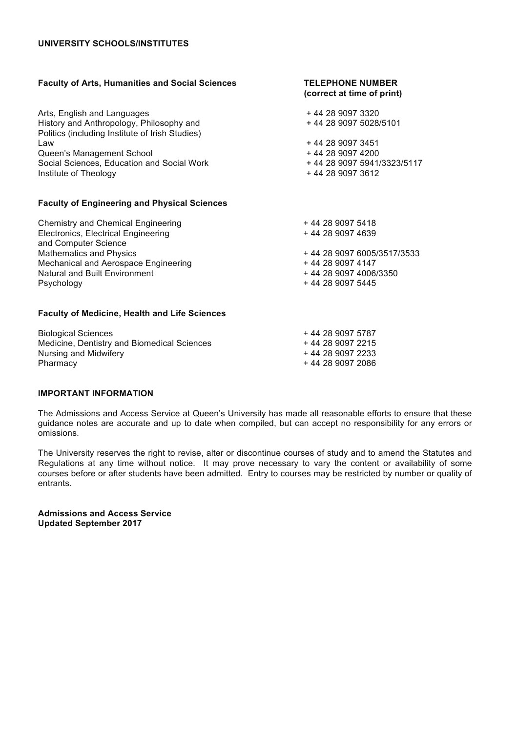# **UNIVERSITY SCHOOLS/INSTITUTES**

| <b>Faculty of Arts, Humanities and Social Sciences</b>                                      | <b>TELEPHONE NUMBER</b><br>(correct at time of print) |
|---------------------------------------------------------------------------------------------|-------------------------------------------------------|
| Arts, English and Languages                                                                 | +44 28 9097 3320                                      |
| History and Anthropology, Philosophy and<br>Politics (including Institute of Irish Studies) | +44 28 9097 5028/5101                                 |
| Law                                                                                         | +44 28 9097 3451                                      |
| Queen's Management School                                                                   | +44 28 9097 4200                                      |
| Social Sciences, Education and Social Work                                                  | +44 28 9097 5941/3323/5117                            |
| Institute of Theology                                                                       | +44 28 9097 3612                                      |
| <b>Faculty of Engineering and Physical Sciences</b>                                         |                                                       |
| <b>Chemistry and Chemical Engineering</b>                                                   | +44 28 9097 5418                                      |
| Electronics, Electrical Engineering<br>and Computer Science                                 | +44 28 9097 4639                                      |
| <b>Mathematics and Physics</b>                                                              | +44 28 9097 6005/3517/3533                            |
| Mechanical and Aerospace Engineering                                                        | +44 28 9097 4147                                      |
| Natural and Built Environment                                                               | +44 28 9097 4006/3350                                 |
| Psychology                                                                                  | +44 28 9097 5445                                      |
| <b>Faculty of Medicine, Health and Life Sciences</b>                                        |                                                       |
| <b>Biological Sciences</b>                                                                  | +44 28 9097 5787                                      |
| Martinian Dramitetum and Diamarchiae I Octam                                                | $\overline{1}$ as a contracted and $\overline{r}$     |

Medicine, Dentistry and Biomedical Sciences + 44 28 9097 2215 Nursing and Midwifery **Accord 2233 +44 28 9097 2233** Pharmacy + 44 28 9097 2086

#### **IMPORTANT INFORMATION**

The Admissions and Access Service at Queen's University has made all reasonable efforts to ensure that these guidance notes are accurate and up to date when compiled, but can accept no responsibility for any errors or omissions.

The University reserves the right to revise, alter or discontinue courses of study and to amend the Statutes and Regulations at any time without notice. It may prove necessary to vary the content or availability of some courses before or after students have been admitted. Entry to courses may be restricted by number or quality of entrants.

**Admissions and Access Service Updated September 2017**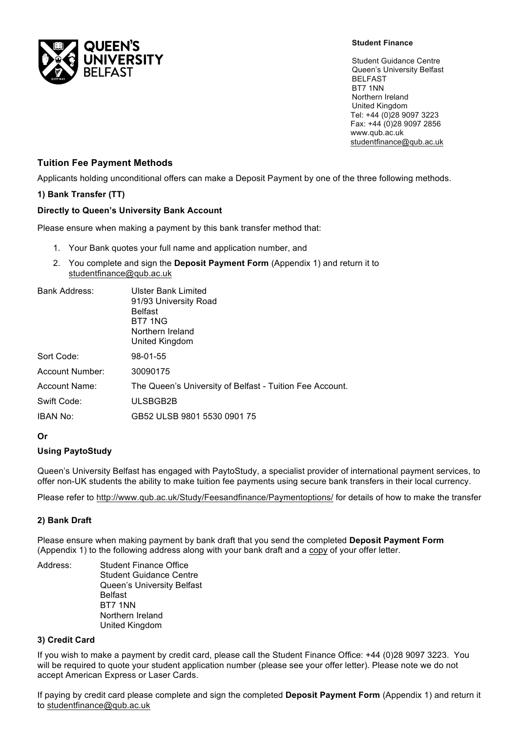

#### **Student Finance**

Student Guidance Centre Queen's University Belfast BELFAST BT7 1NN Northern Ireland United Kingdom Tel: +44 (0)28 9097 3223 Fax: +44 (0)28 9097 2856 www.qub.ac.uk studentfinance@qub.ac.uk

# **Tuition Fee Payment Methods**

Applicants holding unconditional offers can make a Deposit Payment by one of the three following methods.

## **1) Bank Transfer (TT)**

#### **Directly to Queen's University Bank Account**

Please ensure when making a payment by this bank transfer method that:

- 1. Your Bank quotes your full name and application number, and
- 2. You complete and sign the **Deposit Payment Form** (Appendix 1) and return it to studentfinance@qub.ac.uk

| Bank Address:   | Ulster Bank Limited                                      |  |  |  |  |  |  |  |
|-----------------|----------------------------------------------------------|--|--|--|--|--|--|--|
|                 | 91/93 University Road                                    |  |  |  |  |  |  |  |
|                 | <b>Belfast</b>                                           |  |  |  |  |  |  |  |
|                 | BT7 1NG                                                  |  |  |  |  |  |  |  |
|                 | Northern Ireland                                         |  |  |  |  |  |  |  |
|                 | United Kingdom                                           |  |  |  |  |  |  |  |
| Sort Code:      | 98-01-55                                                 |  |  |  |  |  |  |  |
| Account Number: | 30090175                                                 |  |  |  |  |  |  |  |
| Account Name:   | The Queen's University of Belfast - Tuition Fee Account. |  |  |  |  |  |  |  |
| Swift Code:     | ULSBGB2B                                                 |  |  |  |  |  |  |  |
| <b>IBAN No:</b> | GB52 ULSB 9801 5530 0901 75                              |  |  |  |  |  |  |  |
|                 |                                                          |  |  |  |  |  |  |  |

#### **Or**

## **Using PaytoStudy**

Queen's University Belfast has engaged with PaytoStudy, a specialist provider of international payment services, to offer non-UK students the ability to make tuition fee payments using secure bank transfers in their local currency.

Please refer to http://www.qub.ac.uk/Study/Feesandfinance/Paymentoptions/ for details of how to make the transfer

#### **2) Bank Draft**

Please ensure when making payment by bank draft that you send the completed **Deposit Payment Form** (Appendix 1) to the following address along with your bank draft and a copy of your offer letter.

Address: Student Finance Office Student Guidance Centre Queen's University Belfast Belfast BT7 1NN Northern Ireland United Kingdom

#### **3) Credit Card**

If you wish to make a payment by credit card, please call the Student Finance Office: +44 (0)28 9097 3223. You will be required to quote your student application number (please see your offer letter). Please note we do not accept American Express or Laser Cards.

If paying by credit card please complete and sign the completed **Deposit Payment Form** (Appendix 1) and return it to studentfinance@qub.ac.uk